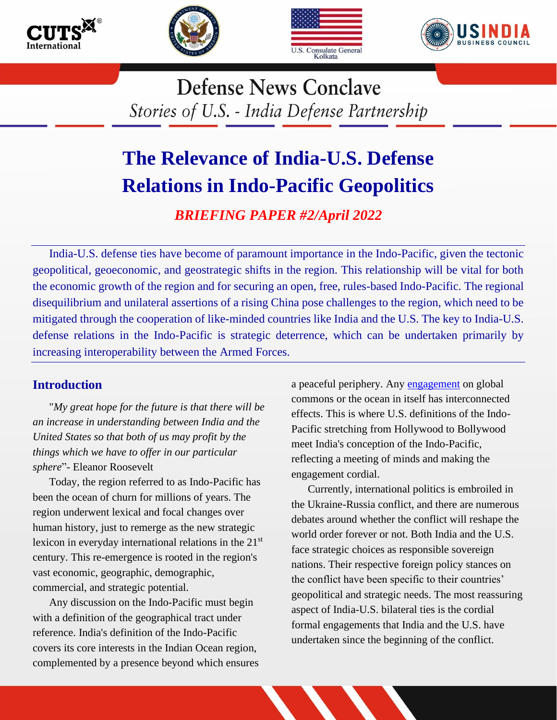







**Defense News Conclave** Stories of U.S. - India Defense Partnership

# **The Relevance of India-U.S. Defense Relations in Indo-Pacific Geopolitics**

*BRIEFING PAPER #2/April 2022*

India-U.S. defense ties have become of paramount importance in the Indo-Pacific, given the tectonic geopolitical, geoeconomic, and geostrategic shifts in the region. This relationship will be vital for both the economic growth of the region and for securing an open, free, rules-based Indo-Pacific. The regional disequilibrium and unilateral assertions of a rising China pose challenges to the region, which need to be mitigated through the cooperation of like-minded countries like India and the U.S. The key to India-U.S. defense relations in the Indo-Pacific is strategic deterrence, which can be undertaken primarily by increasing interoperability between the Armed Forces.

# **Introduction**

"*My great hope for the future is that there will be an increase in understanding between India and the United States so that both of us may profit by the things which we have to offer in our particular sphere*"- Eleanor Roosevelt

Today, the region referred to as Indo-Pacific has been the ocean of churn for millions of years. The region underwent lexical and focal changes over human history, just to remerge as the new strategic lexicon in everyday international relations in the 21<sup>st</sup> century. This re-emergence is rooted in the region's vast economic, geographic, demographic, commercial, and strategic potential.

Any discussion on the Indo-Pacific must begin with a definition of the geographical tract under reference. India's definition of the Indo-Pacific covers its core interests in the Indian Ocean region, complemented by a presence beyond which ensures a peaceful periphery. Any [engagement](https://www.amazon.in/India-Way-Strategies-Uncertain-World/dp/9353579791#:~:text=In%20The%20India%20Way%2C%20S,place%20on%20the%20world%20stage.) on global commons or the ocean in itself has interconnected effects. This is where U.S. definitions of the Indo-Pacific stretching from Hollywood to Bollywood meet India's conception of the Indo-Pacific, reflecting a meeting of minds and making the engagement cordial.

Currently, international politics is embroiled in the Ukraine-Russia conflict, and there are numerous debates around whether the conflict will reshape the world order forever or not. Both India and the U.S. face strategic choices as responsible sovereign nations. Their respective foreign policy stances on the conflict have been specific to their countries' geopolitical and strategic needs. The most reassuring aspect of India-U.S. bilateral ties is the cordial formal engagements that India and the U.S. have undertaken since the beginning of the conflict.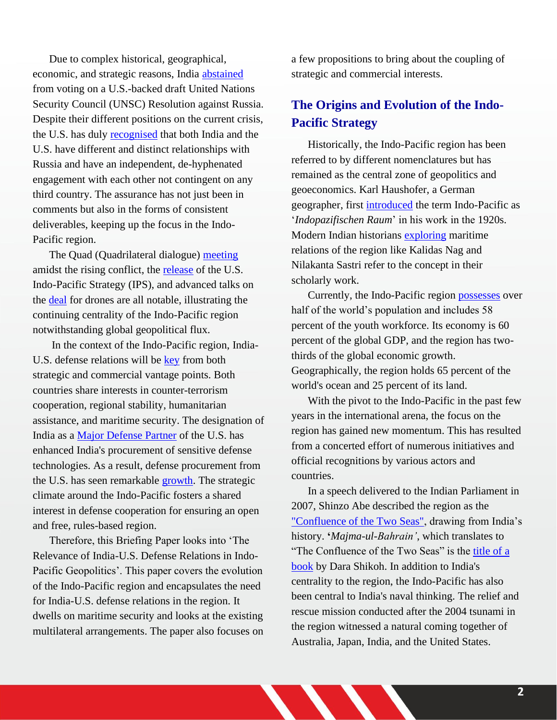Due to complex historical, geographical, economic, and strategic reasons, India [abstained](https://economictimes.indiatimes.com/news/india/india-abstains-from-united-nations-vote-deploring-russias-ukraine-war/articleshow/89955330.cms) from voting on a U.S.-backed draft United Nations Security Council (UNSC) Resolution against Russia. Despite their different positions on the current crisis, the U.S. has duly [recognised](https://www.lalitkjha.com/apex/f?p=24257:170:::NO:170:P170_ARTICLE_NUM:37359) that both India and the U.S. have different and distinct relationships with Russia and have an independent, de-hyphenated engagement with each other not contingent on any third country. The assurance has not just been in comments but also in the forms of consistent deliverables, keeping up the focus in the Indo-Pacific region.

The Quad (Quadrilateral dialogue) [meeting](https://www.mea.gov.in/bilateral-documents.htm?dtl/34854/Joint+statement+by+the+Foreign+Ministers+of+Australia+India+and+Japan+and+the+Secretary+of+State+of+the+United+States+following+the+4th+Quad+Foreign+Ministers+Meeting) amidst the rising conflict, the [release](https://www.whitehouse.gov/wp-content/uploads/2022/02/U.S.-Indo-Pacific-Strategy.pdf) of the U.S. Indo-Pacific Strategy (IPS), and advanced talks on [the deal](https://www.business-standard.com/article/current-affairs/dialogue-on-india-us-deal-for-30-predator-drones-at-advanced-stage-reports-122022700144_1.html#.Yh2x40AhrK8.twitter) for drones are all notable, illustrating the continuing centrality of the Indo-Pacific region notwithstanding global geopolitical flux.

In the context of the Indo-Pacific region, India-U.S. defense relations will be [key](https://home.kpmg/in/en/home/insights/2021/09/indo-us-defence-partnership-road-ahead.html) from both strategic and commercial vantage points. Both countries share interests in counter-terrorism cooperation, regional stability, humanitarian assistance, and maritime security. The designation of India as a [Major Defense Partner](https://obamawhitehouse.archives.gov/the-press-office/2016/06/07/joint-statement-united-states-and-india-enduring-global-partners-21st) of the U.S. has enhanced India's procurement of sensitive defense technologies. As a result, defense procurement from the U.S. has seen remarkable [growth.](https://www.state.gov/u-s-security-cooperation-with-india/) The strategic climate around the Indo-Pacific fosters a shared interest in defense cooperation for ensuring an open and free, rules-based region.

Therefore, this Briefing Paper looks into 'The Relevance of India-U.S. Defense Relations in Indo-Pacific Geopolitics'. This paper covers the evolution of the Indo-Pacific region and encapsulates the need for India-U.S. defense relations in the region. It dwells on maritime security and looks at the existing multilateral arrangements. The paper also focuses on a few propositions to bring about the coupling of strategic and commercial interests.

# **The Origins and Evolution of the Indo-Pacific Strategy**

Historically, the Indo-Pacific region has been referred to by different nomenclatures but has remained as the central zone of geopolitics and geoeconomics. Karl Haushofer, a German geographer, first [introduced](https://www.cambridge.org/core/journals/modern-intellectual-history/article/indopacific-intellectual-origins-and-international-visions-in-global-contexts/21B142B132F694349D46CAD22EA8C7CD) the term Indo-Pacific as '*Indopazifischen Raum*' in his work in the 1920s. Modern Indian historians [exploring](https://www.telegraphindia.com/opinion/the-changing-seas-antecedents-of-the-indo-pacific/cid/1694598) maritime relations of the region like Kalidas Nag and Nilakanta Sastri refer to the concept in their scholarly work.

Currently, the Indo-Pacific region [possesses](https://www.whitehouse.gov/wp-content/uploads/2022/02/U.S.-Indo-Pacific-Strategy.pdf) over half of the world's population and includes 58 percent of the youth workforce. Its economy is 60 percent of the global GDP, and the region has twothirds of the global economic growth. Geographically, the region holds 65 percent of the world's ocean and 25 percent of its land.

With the pivot to the Indo-Pacific in the past few years in the international arena, the focus on the region has gained new momentum. This has resulted from a concerted effort of numerous initiatives and official recognitions by various actors and countries.

In a speech delivered to the Indian Parliament in 2007, Shinzo Abe described the region as the ["Confluence of the Two Seas",](https://mea.gov.in/bilateral-documents.htm?dtl/20978/The+importance+of+Shinzo+Abe) drawing from India's history. **'***Majma-ul-Bahrain'*, which translates to "The Confluence of the Two Seas" is the [title of a](https://www.goodreads.com/en/book/show/22294859-majma-ul-bahrain-or-the-mingling-of-the-two-oceans-by-prince-muhammad-da)  [book](https://www.goodreads.com/en/book/show/22294859-majma-ul-bahrain-or-the-mingling-of-the-two-oceans-by-prince-muhammad-da) by Dara Shikoh. In addition to India's centrality to the region, the Indo-Pacific has also been central to India's naval thinking. The relief and rescue mission conducted after the 2004 tsunami in the region witnessed a natural coming together of Australia, Japan, India, and the United States.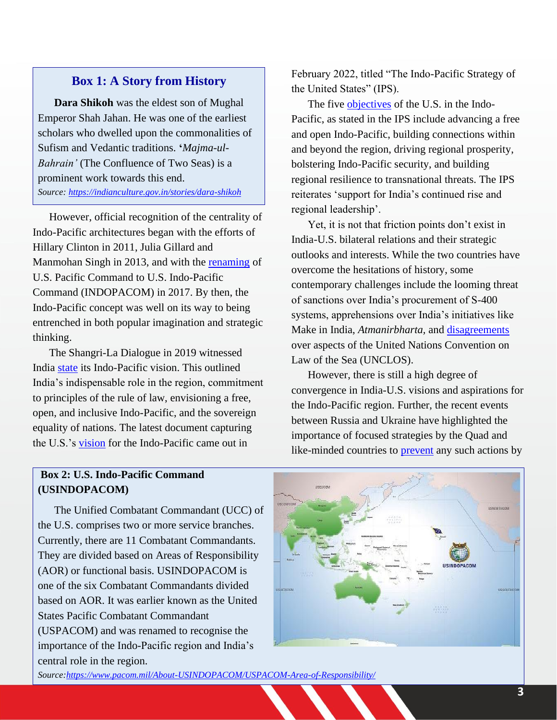## **Box 1: A Story from History**

**Dara Shikoh** was the eldest son of Mughal Emperor Shah Jahan. He was one of the earliest scholars who dwelled upon the commonalities of Sufism and Vedantic traditions. **'***Majma-ul-Bahrain'* (The Confluence of Two Seas) is a prominent work towards this end. *Source:<https://indianculture.gov.in/stories/dara-shikoh>*

However, official recognition of the centrality of Indo-Pacific architectures began with the efforts of Hillary Clinton in 2011, Julia Gillard and Manmohan Singh in 2013, and with the [renaming](https://assets.kpmg/content/dam/kpmg/in/pdf/2021/09/indo-us-defence-partnership-road-ahead.pdf) of U.S. Pacific Command to U.S. Indo-Pacific Command (INDOPACOM) in 2017. By then, the Indo-Pacific concept was well on its way to being entrenched in both popular imagination and strategic thinking.

The Shangri-La Dialogue in 2019 witnessed India [state](https://www.mea.gov.in/Speeches-Statements.htm?dtl/29943/Prime+Ministers+Keynote+Address+at+Shangri+La+Dialogue+June+01+2018) its Indo-Pacific vision. This outlined India's indispensable role in the region, commitment to principles of the rule of law, envisioning a free, open, and inclusive Indo-Pacific, and the sovereign equality of nations. The latest document capturing the U.S.'s [vision](https://www.whitehouse.gov/wp-content/uploads/2022/02/U.S.-Indo-Pacific-Strategy.pdf) for the Indo-Pacific came out in

February 2022, titled "The Indo-Pacific Strategy of the United States" (IPS).

The five [objectives](https://www.whitehouse.gov/wp-content/uploads/2022/02/U.S.-Indo-Pacific-Strategy.pdf) of the U.S. in the Indo-Pacific, as stated in the IPS include advancing a free and open Indo-Pacific, building connections within and beyond the region, driving regional prosperity, bolstering Indo-Pacific security, and building regional resilience to transnational threats. The IPS reiterates 'support for India's continued rise and regional leadership'.

Yet, it is not that friction points don't exist in India-U.S. bilateral relations and their strategic outlooks and interests. While the two countries have overcome the hesitations of history, some contemporary challenges include the looming threat of sanctions over India's procurement of S-400 systems, apprehensions over India's initiatives like Make in India, *Atmanirbharta,* and [disagreements](https://www.thehindu.com/news/international/india-us-not-on-same-page-on-rules-based-order/article34289711.ece) over aspects of the United Nations Convention on Law of the Sea (UNCLOS).

However, there is still a high degree of convergence in India-U.S. visions and aspirations for the Indo-Pacific region. Further, the recent events between Russia and Ukraine have highlighted the importance of focused strategies by the Quad and like-minded countries to [prevent](https://www.livemint.com/news/india/whats-happening-in-ukraine-shouldn-t-be-allowed-in-indo-pacific-region-11646324777779.html) any such actions by

# **Box 2: U.S. Indo-Pacific Command (USINDOPACOM)**

The Unified Combatant Commandant (UCC) of the U.S. comprises two or more service branches. Currently, there are 11 Combatant Commandants. They are divided based on Areas of Responsibility (AOR) or functional basis. USINDOPACOM is one of the six Combatant Commandants divided based on AOR. It was earlier known as the United States Pacific Combatant Commandant (USPACOM) and was renamed to recognise the importance of the Indo-Pacific region and India's central role in the region.



*Source[:https://www.pacom.mil/About-USINDOPACOM/USPACOM-Area-of-Responsibility/](https://www.pacom.mil/About-USINDOPACOM/USPACOM-Area-of-Responsibility/)*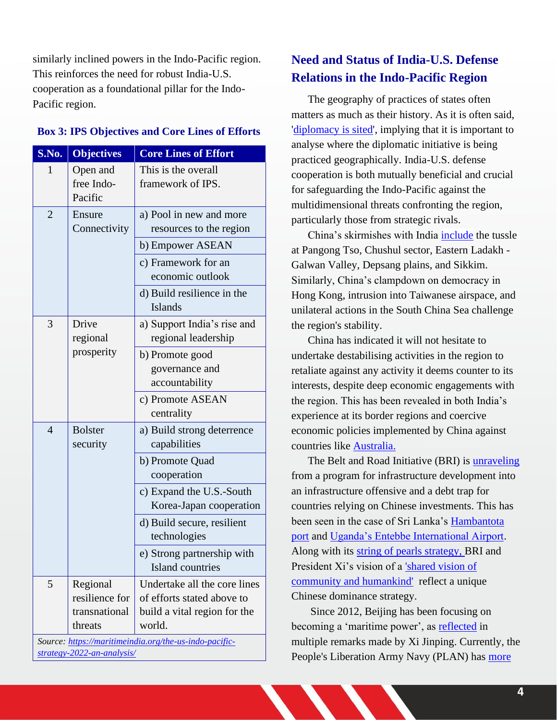similarly inclined powers in the Indo-Pacific region. This reinforces the need for robust India-U.S. cooperation as a foundational pillar for the Indo-Pacific region.

#### **Box 3: IPS Objectives and Core Lines of Efforts**

| S.No.                                                  | <b>Objectives</b>          | <b>Core Lines of Effort</b>                  |  |
|--------------------------------------------------------|----------------------------|----------------------------------------------|--|
| $\mathbf{1}$                                           | Open and                   | This is the overall                          |  |
|                                                        | free Indo-<br>Pacific      | framework of IPS.                            |  |
| $\overline{2}$                                         | Ensure                     | a) Pool in new and more                      |  |
|                                                        | Connectivity               | resources to the region                      |  |
|                                                        |                            | b) Empower ASEAN                             |  |
|                                                        |                            | c) Framework for an                          |  |
|                                                        |                            | economic outlook                             |  |
|                                                        |                            | d) Build resilience in the<br><b>Islands</b> |  |
| 3                                                      | Drive                      | a) Support India's rise and                  |  |
|                                                        | regional                   | regional leadership                          |  |
|                                                        | prosperity                 | b) Promote good                              |  |
|                                                        |                            | governance and                               |  |
|                                                        |                            | accountability                               |  |
|                                                        |                            | c) Promote ASEAN                             |  |
|                                                        |                            | centrality                                   |  |
| $\overline{4}$                                         | <b>Bolster</b><br>security | a) Build strong deterrence<br>capabilities   |  |
|                                                        |                            | b) Promote Quad                              |  |
|                                                        |                            | cooperation                                  |  |
|                                                        |                            | c) Expand the U.S.-South                     |  |
|                                                        |                            | Korea-Japan cooperation                      |  |
|                                                        |                            | d) Build secure, resilient                   |  |
|                                                        |                            | technologies                                 |  |
|                                                        |                            | e) Strong partnership with                   |  |
|                                                        |                            | Island countries                             |  |
| 5                                                      | Regional                   | Undertake all the core lines                 |  |
|                                                        | resilience for             | of efforts stated above to                   |  |
|                                                        | transnational              | build a vital region for the                 |  |
|                                                        | threats                    | world.                                       |  |
| Source: https://maritimeindia.org/the-us-indo-pacific- |                            |                                              |  |

*[strategy-2022-an-analysis/](https://maritimeindia.org/the-us-indo-pacific-strategy-2022-an-analysis/)*

# **Need and Status of India-U.S. Defense Relations in the Indo-Pacific Region**

The geography of practices of states often matters as much as their history. As it is often said, ['diplomacy is sited'](https://www.jstor.org/stable/45084291), implying that it is important to analyse where the diplomatic initiative is being practiced geographically. India-U.S. defense cooperation is both mutually beneficial and crucial for safeguarding the Indo-Pacific against the multidimensional threats confronting the region, particularly those from strategic rivals.

China's skirmishes with India [include](https://www.southasiamonitor.org/china-watch/china-contextualizing-duality-actions) the tussle at Pangong Tso, Chushul sector, Eastern Ladakh - Galwan Valley, Depsang plains, and Sikkim. Similarly, China's clampdown on democracy in Hong Kong, intrusion into Taiwanese airspace, and unilateral actions in the South China Sea challenge the region's stability.

China has indicated it will not hesitate to undertake destabilising activities in the region to retaliate against any activity it deems counter to its interests, despite deep economic engagements with the region. This has been revealed in both India's experience at its border regions and coercive economic policies implemented by China against countries like [Australia.](https://www.nbcnews.com/news/world/australia-embraces-u-s-pays-price-china-trade-war-hits-n1270458)

The Belt and Road Initiative (BRI) is [unraveling](https://www.southasiamonitor.org/china-watch/china-contextualizing-duality-actions) from a program for infrastructure development into an infrastructure offensive and a debt trap for countries relying on Chinese investments. This has been seen in the case of Sri Lanka's [Hambantota](https://www.nytimes.com/2018/06/25/world/asia/china-sri-lanka-port.html)  [port](https://www.nytimes.com/2018/06/25/world/asia/china-sri-lanka-port.html) and [Uganda's Entebbe International Airport.](https://economictimes.indiatimes.com/news/international/business/china-reportedly-takes-over-ugandas-airport-on-account-of-loan-default/articleshow/87957646.cms?utm_source=newsletter&utm_medium=email&utm_campaign=NewsDigest&utm_content=recommended&utm_term=1%20%20%20%20%20%20%20&ncode=24c0d6d8fee6dd026f52ac2e1d078e054b91e67a7aa1c8ebc6db0efb780f0e9b922f87c378c4ca3dc57ff8f2b3e3bf2eee12f74b1471fe256ebefaa47127e75182d276d2706e9b069d3f1a117e8ff039) Along with its [string of pearls strategy,](https://www.wionews.com/photos/chinese-presence-in-the-indian-ocean-calls-for-a-stronger-navy-at-home-266154#indo-pacific-at-the-centre-of-geopolitics-266125) BRI and President Xi's vision of a ['shared vision of](https://www.researchgate.net/publication/328777438_Building_a_community_of_shared_future_for_humankind_--_an_ethnological_perspective)  [community and humankind'](https://www.researchgate.net/publication/328777438_Building_a_community_of_shared_future_for_humankind_--_an_ethnological_perspective) reflect a unique Chinese dominance strategy.

Since 2012, Beijing has been focusing on becoming a 'maritime power', as [reflected](http://www.xinhuanet.com/) in multiple remarks made by Xi Jinping. Currently, the People's Liberation Army Navy (PLAN) has [more](https://www.rand.org/content/dam/rand/pubs/research_reports/RR300/RR392/RAND_RR392.pdf)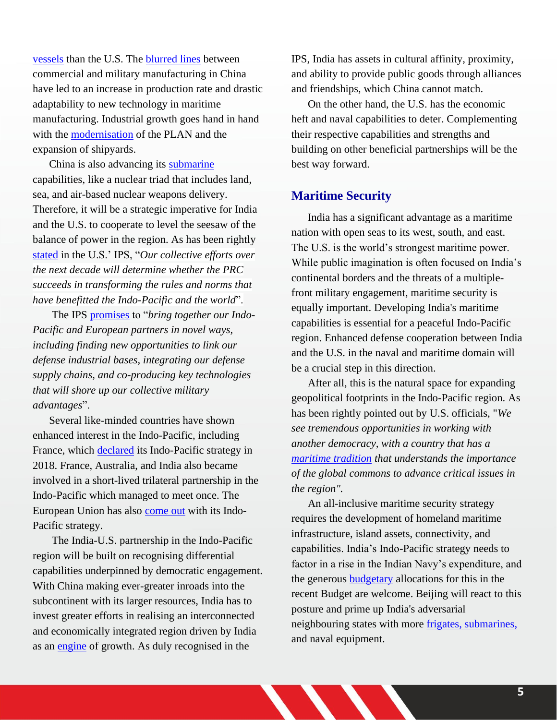[vessels](https://www.rand.org/content/dam/rand/pubs/research_reports/RR300/RR392/RAND_RR392.pdf) than the U.S. The [blurred lines](https://go.gale.com/ps/i.do?id=GALE%7CA546504118&sid=googleScholar&v=2.1&it=r&linkaccess=abs&issn=00311723&p=AONE&sw=w&userGroupName=anon%7E728133a8) between commercial and military manufacturing in China have led to an increase in production rate and drastic adaptability to new technology in maritime manufacturing. Industrial growth goes hand in hand with the [modernisation](https://dod.defense.gov/Portals/1/Documents/pubs/2016%20China%20Military%20Power%20Report.pdf) of the PLAN and the expansion of shipyards.

China is also advancing its [submarine](https://chinapower.csis.org/ssbn/) capabilities, like a nuclear triad that includes land, sea, and air-based nuclear weapons delivery. Therefore, it will be a strategic imperative for India and the U.S. to cooperate to level the seesaw of the balance of power in the region. As has been rightly [stated](https://www.whitehouse.gov/wp-content/uploads/2022/02/U.S.-Indo-Pacific-Strategy.pdf) in the U.S.' IPS, "*Our collective efforts over the next decade will determine whether the PRC succeeds in transforming the rules and norms that have benefitted the Indo-Pacific and the world*".

The IPS [promises](https://www.whitehouse.gov/wp-content/uploads/2022/02/U.S.-Indo-Pacific-Strategy.pdf) to "*bring together our Indo-Pacific and European partners in novel ways, including finding new opportunities to link our defense industrial bases, integrating our defense supply chains, and co-producing key technologies that will shore up our collective military advantages*".

Several like-minded countries have shown enhanced interest in the Indo-Pacific, including France, which [declared](https://franceintheus.org/IMG/pdf/France_and_Security_in_the_Indo-Pacific_-_2019.pdf) its Indo-Pacific strategy in 2018. France, Australia, and India also became involved in a short-lived trilateral partnership in the Indo-Pacific which managed to meet once. The European Union has also [come out](https://spfusa.org/research/the-eus-strategy-for-cooperation-in-the-indo-pacific/) with its Indo-Pacific strategy.

The India-U.S. partnership in the Indo-Pacific region will be built on recognising differential capabilities underpinned by democratic engagement. With China making ever-greater inroads into the subcontinent with its larger resources, India has to invest greater efforts in realising an interconnected and economically integrated region driven by India as an [engine](https://www.whitehouse.gov/wp-content/uploads/2022/02/U.S.-Indo-Pacific-Strategy.pdf) of growth. As duly recognised in the

IPS, India has assets in cultural affinity, proximity, and ability to provide public goods through alliances and friendships, which China cannot match.

On the other hand, the U.S. has the economic heft and naval capabilities to deter. Complementing their respective capabilities and strengths and building on other beneficial partnerships will be the best way forward.

## **Maritime Security**

India has a significant advantage as a maritime nation with open seas to its west, south, and east. The U.S. is the world's strongest maritime power. While public imagination is often focused on India's continental borders and the threats of a multiplefront military engagement, maritime security is equally important. Developing India's maritime capabilities is essential for a peaceful Indo-Pacific region. Enhanced defense cooperation between India and the U.S. in the naval and maritime domain will be a crucial step in this direction.

After all, this is the natural space for expanding geopolitical footprints in the Indo-Pacific region. As has been rightly pointed out by U.S. officials, "*We see tremendous opportunities in working with another democracy, with a country that has a [maritime tradition](https://www.whitehouse.gov/briefing-room/statements-releases/2022/02/11/background-press-call-by-senior-administration-officials-previewing-the-u-s-s-indo-pacific-strategy/) that understands the importance of the global commons to advance critical issues in the region".*

An all-inclusive maritime security strategy requires the development of homeland maritime infrastructure, island assets, connectivity, and capabilities. India's Indo-Pacific strategy needs to factor in a rise in the Indian Navy's expenditure, and the generous [budgeta](https://www.news18.com/news/india/defence-budget-with-focus-on-ior-navy-gets-43-capital-outlay-hike-army-modernisation-funds-dip-12-2-4722110.html)ry allocations for this in the recent Budget are welcome. Beijing will react to this posture and prime up India's adversarial neighbouring states with more [frigates, submarines,](https://www.indiatoday.in/world/story/pakistan-to-acquire-4-chinese-frigates-8-submarines-in-modernisation-push-for-navy-1766465-2021-02-06) and naval equipment.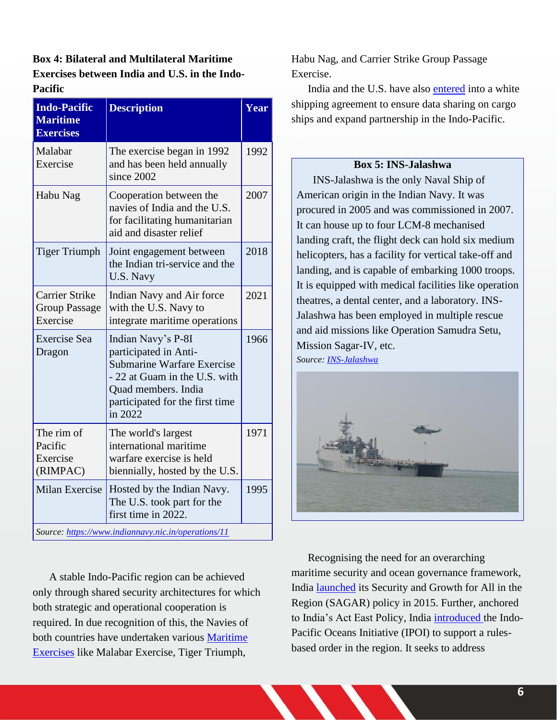**Box 4: Bilateral and Multilateral Maritime Exercises between India and U.S. in the Indo-Pacific**

| <b>Indo-Pacific</b><br><b>Maritime</b><br><b>Exercises</b> | <b>Description</b>                                                                                                                                                              | Year |  |
|------------------------------------------------------------|---------------------------------------------------------------------------------------------------------------------------------------------------------------------------------|------|--|
| Malabar<br>Exercise                                        | The exercise began in 1992<br>and has been held annually<br>since 2002                                                                                                          | 1992 |  |
| Habu Nag                                                   | Cooperation between the<br>navies of India and the U.S.<br>for facilitating humanitarian<br>aid and disaster relief                                                             | 2007 |  |
| <b>Tiger Triumph</b>                                       | Joint engagement between<br>the Indian tri-service and the<br>U.S. Navy                                                                                                         | 2018 |  |
| <b>Carrier Strike</b><br><b>Group Passage</b><br>Exercise  | Indian Navy and Air force<br>with the U.S. Navy to<br>integrate maritime operations                                                                                             | 2021 |  |
| <b>Exercise</b> Sea<br>Dragon                              | Indian Navy's P-8I<br>participated in Anti-<br>Submarine Warfare Exercise<br>- 22 at Guam in the U.S. with<br>Quad members. India<br>participated for the first time<br>in 2022 | 1966 |  |
| The rim of<br>Pacific<br>Exercise<br>(RIMPAC)              | The world's largest<br>international maritime<br>warfare exercise is held<br>biennially, hosted by the U.S.                                                                     | 1971 |  |
| <b>Milan Exercise</b>                                      | Hosted by the Indian Navy.<br>The U.S. took part for the<br>first time in 2022.                                                                                                 | 1995 |  |
| Source: https://www.indiannavy.nic.in/operations/11        |                                                                                                                                                                                 |      |  |

A stable Indo-Pacific region can be achieved only through shared security architectures for which both strategic and operational cooperation is required. In due recognition of this, the Navies of both countries have undertaken various [Maritime](https://www.indiannavy.nic.in/operations/11)  [Exercises](https://www.indiannavy.nic.in/operations/11) like Malabar Exercise, Tiger Triumph,

Habu Nag, and Carrier Strike Group Passage Exercise.

India and the U.S. have also [entered](https://economictimes.indiatimes.com/industry/transportation/shipping-/-transport/india-us-likely-to-conclude-white-shipping-agreement-during-pm-narendra-modis-visit/articleshow/52545649.cms?from=mdr) into a white shipping agreement to ensure data sharing on cargo ships and expand partnership in the Indo-Pacific.

#### **Box 5: INS-Jalashwa**

INS-Jalashwa is the only Naval Ship of American origin in the Indian Navy. It was procured in 2005 and was commissioned in 2007. It can house up to four LCM-8 mechanised landing craft, the flight deck can hold six medium helicopters, has a facility for vertical take-off and landing, and is capable of embarking 1000 troops. It is equipped with medical facilities like operation theatres, a dental center, and a laboratory. INS-Jalashwa has been employed in multiple rescue and aid missions like Operation Samudra Setu, Mission Sagar-IV, etc.

*Source[: INS-Jalashwa](https://www.hcindiabrunei.gov.in/newsImage/1620797041_2840_pdf%20-%20Press%20Release%20on%2011.5.2021.pdf)*



Recognising the need for an overarching maritime security and ocean governance framework, India [launched](https://mea.gov.in/Speeches-Statements.htm?dtl/29943/Prime_Ministers_Keynote_Address_at_Shangri_La_Dialogue_June_01_2018) its Security and Growth for All in the Region (SAGAR) policy in 2015. Further, anchored to India's Act East Policy, India [introduced](https://www.mea.gov.in/Speeches-Statements.htm?dtl/32171/Prime_Ministers_Speech_at_the_East_Asia_Summit_04_November_2019) the Indo-Pacific Oceans Initiative (IPOI) to support a rulesbased order in the region. It seeks to address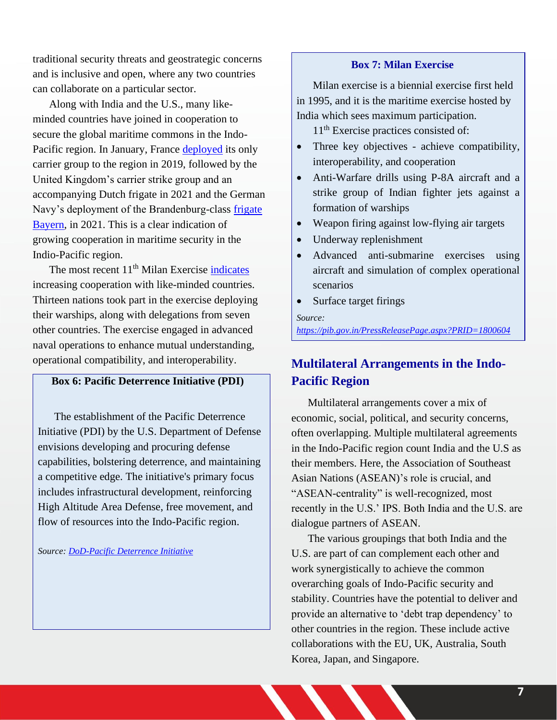traditional security threats and geostrategic concerns and is inclusive and open, where any two countries can collaborate on a particular sector.

Along with India and the U.S., many likeminded countries have joined in cooperation to secure the global maritime commons in the Indo-Pacific region. In January, France [deployed](https://foreignpolicy.com/2022/01/03/german-navy-indo-pacific-frigate-china-policy/#:~:text=A%20quiet%20frigate%20deployment%20is%20a%20sign%20of%20muddled%20policy%20toward%20Beijing.&text=The%20German%20Navy) its only carrier group to the region in 2019, followed by the United Kingdom's carrier strike group and an accompanying Dutch frigate in 2021 and the German Navy's deployment of the Brandenburg-class [frigate](https://www.aspistrategist.org.au/frigate-deployment-shows-germanys-intent-in-the-indo-pacific/)  [Bayern,](https://www.aspistrategist.org.au/frigate-deployment-shows-germanys-intent-in-the-indo-pacific/) in 2021. This is a clear indication of growing cooperation in maritime security in the Indio-Pacific region.

The most recent 11<sup>th</sup> Milan Exercise [indicates](https://pib.gov.in/PressReleasePage.aspx?PRID=1800604) increasing cooperation with like-minded countries. Thirteen nations took part in the exercise deploying their warships, along with delegations from seven other countries. The exercise engaged in advanced naval operations to enhance mutual understanding, operational compatibility, and interoperability.

## **Box 6: Pacific Deterrence Initiative (PDI)**

The establishment of the Pacific Deterrence Initiative (PDI) by the U.S. Department of Defense envisions developing and procuring defense capabilities, bolstering deterrence, and maintaining a competitive edge. The initiative's primary focus includes infrastructural development, reinforcing High Altitude Area Defense, free movement, and flow of resources into the Indo-Pacific region.

*Source: [DoD-Pacific Deterrence Initiative](https://comptroller.defense.gov/Portals/45/Documents/defbudget/FY2022/fy2022_Pacific_Deterrence_Initiative.pdf)*

#### **Box 7: Milan Exercise**

Milan exercise is a biennial exercise first held in 1995, and it is the maritime exercise hosted by India which sees maximum participation.

11<sup>th</sup> Exercise practices consisted of:

- Three key objectives achieve compatibility, interoperability, and cooperation
- Anti-Warfare drills using P-8A aircraft and a strike group of Indian fighter jets against a formation of warships
- Weapon firing against low-flying air targets
- Underway replenishment
- Advanced anti-submarine exercises using aircraft and simulation of complex operational scenarios
- Surface target firings

*Source:*

*<https://pib.gov.in/PressReleasePage.aspx?PRID=1800604>*

# **Multilateral Arrangements in the Indo-Pacific Region**

Multilateral arrangements cover a mix of economic, social, political, and security concerns, often overlapping. Multiple multilateral agreements in the Indo-Pacific region count India and the U.S as their members. Here, the Association of Southeast Asian Nations (ASEAN)'s role is crucial, and "ASEAN-centrality" is well-recognized, most recently in the U.S.' IPS. Both India and the U.S. are dialogue partners of ASEAN.

The various groupings that both India and the U.S. are part of can complement each other and work synergistically to achieve the common overarching goals of Indo-Pacific security and stability. Countries have the potential to deliver and provide an alternative to 'debt trap dependency' to other countries in the region. These include active collaborations with the EU, UK, Australia, South Korea, Japan, and Singapore.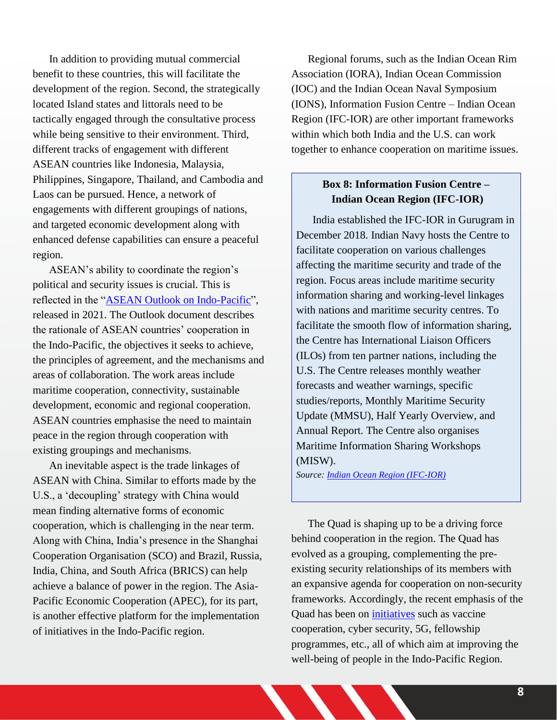In addition to providing mutual commercial benefit to these countries, this will facilitate the development of the region. Second, the strategically located Island states and littorals need to be tactically engaged through the consultative process while being sensitive to their environment. Third, different tracks of engagement with different ASEAN countries like Indonesia, Malaysia, Philippines, Singapore, Thailand, and Cambodia and Laos can be pursued. Hence, a network of engagements with different groupings of nations, and targeted economic development along with enhanced defense capabilities can ensure a peaceful region.

ASEAN's ability to coordinate the region's political and security issues is crucial. This is reflected in the ["ASEAN Outlook on Indo-Pacific"](https://asean.org/asean2020/wp-content/uploads/2021/01/ASEAN-Outlook-on-the-Indo-Pacific_FINAL_22062019.pdf), released in 2021. The Outlook document describes the rationale of ASEAN countries' cooperation in the Indo-Pacific, the objectives it seeks to achieve, the principles of agreement, and the mechanisms and areas of collaboration. The work areas include maritime cooperation, connectivity, sustainable development, economic and regional cooperation. ASEAN countries emphasise the need to maintain peace in the region through cooperation with existing groupings and mechanisms.

An inevitable aspect is the trade linkages of ASEAN with China. Similar to efforts made by the U.S., a 'decoupling' strategy with China would mean finding alternative forms of economic cooperation, which is challenging in the near term. Along with China, India's presence in the Shanghai Cooperation Organisation (SCO) and Brazil, Russia, India, China, and South Africa (BRICS) can help achieve a balance of power in the region. The Asia-Pacific Economic Cooperation (APEC), for its part, is another effective platform for the implementation of initiatives in the Indo-Pacific region.

Regional forums, such as the Indian Ocean Rim Association (IORA), Indian Ocean Commission (IOC) and the Indian Ocean Naval Symposium (IONS), Information Fusion Centre – Indian Ocean Region (IFC-IOR) are other important frameworks within which both India and the U.S. can work together to enhance cooperation on maritime issues.

# **Box 8: Information Fusion Centre – Indian Ocean Region (IFC-IOR)**

India established the IFC-IOR in Gurugram in December 2018. Indian Navy hosts the Centre to facilitate cooperation on various challenges affecting the maritime security and trade of the region. Focus areas include maritime security information sharing and working-level linkages with nations and maritime security centres. To facilitate the smooth flow of information sharing, the Centre has International Liaison Officers (ILOs) from ten partner nations, including the U.S. The Centre releases monthly weather forecasts and weather warnings, specific studies/reports, Monthly Maritime Security Update (MMSU), Half Yearly Overview, and Annual Report. The Centre also organises Maritime Information Sharing Workshops (MISW).

*Source[:](https://www.indiannavy.nic.in/ifc-ior/about-us.html) [Indian Ocean Region \(IFC-IOR\)](https://www.indiannavy.nic.in/ifc-ior/about-us.html)* 

The Quad is shaping up to be a driving force behind cooperation in the region. The Quad has evolved as a grouping, complementing the preexisting security relationships of its members with an expansive agenda for cooperation on non-security frameworks. Accordingly, the recent emphasis of the Quad has been on [initiatives](https://economictimes.indiatimes.com/news/defence/quad-spearheading-3-broad-initiatives-for-indo-pacific-harsh-vardhan-shringla/articleshow/88062967.cms?utm_source=newsletter&utm_medium=email&utm_campaign=defencenewsletter&ncode=821190406dcc4ee9601a66fe2184050e4249229231ad6025110f4586002cf9db07329d8e92d919bd589e53dcb2248715670d8e947a5c3d7627c6b503e20259e2647338b6533ae1d40b7d0beba22a95e3) such as vaccine cooperation, cyber security, 5G, fellowship programmes, etc., all of which aim at improving the well-being of people in the Indo-Pacific Region.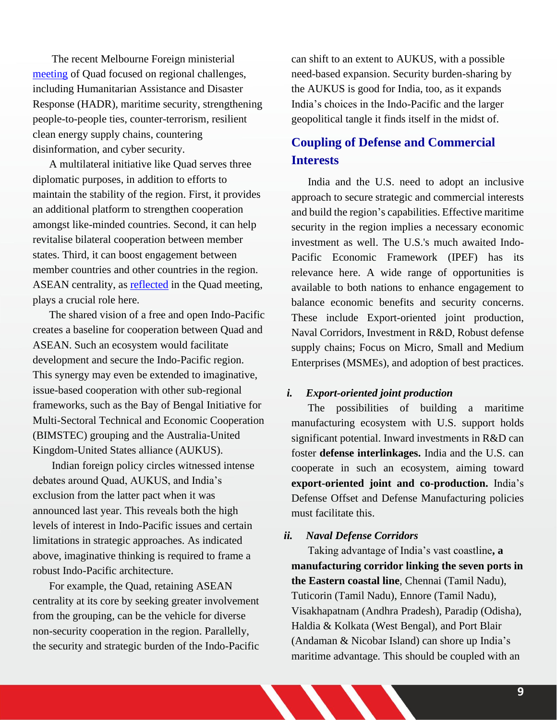The recent Melbourne Foreign ministerial [meeting](https://www.mea.gov.in/bilateral-documents.htm?dtl/34854/Joint+statement+by+the+Foreign+Ministers+of+Australia+India+and+Japan+and+the+Secretary+of+State+of+the+United+States+following+the+4th+Quad+Foreign+Ministers+Meeting) of Quad focused on regional challenges, including Humanitarian Assistance and Disaster Response (HADR), maritime security, strengthening people-to-people ties, counter-terrorism, resilient clean energy supply chains, countering disinformation, and cyber security.

A multilateral initiative like Quad serves three diplomatic purposes, in addition to efforts to maintain the stability of the region. First, it provides an additional platform to strengthen cooperation amongst like-minded countries. Second, it can help revitalise bilateral cooperation between member states. Third, it can boost engagement between member countries and other countries in the region. ASEAN centrality, as [reflected](https://www.mea.gov.in/bilateral-documents.htm?dtl/34854/Joint+statement+by+the+Foreign+Ministers+of+Australia+India+and+Japan+and+the+Secretary+of+State+of+the+United+States+following+the+4th+Quad+Foreign+Ministers+Meeting) in the Quad meeting, plays a crucial role here.

The shared vision of a free and open Indo-Pacific creates a baseline for cooperation between Quad and ASEAN. Such an ecosystem would facilitate development and secure the Indo-Pacific region. This synergy may even be extended to imaginative, issue-based cooperation with other sub-regional frameworks, such as the Bay of Bengal Initiative for Multi-Sectoral Technical and Economic Cooperation (BIMSTEC) grouping and the Australia-United Kingdom-United States alliance (AUKUS).

Indian foreign policy circles witnessed intense debates around Quad, AUKUS, and India's exclusion from the latter pact when it was announced last year. This reveals both the high levels of interest in Indo-Pacific issues and certain limitations in strategic approaches. As indicated above, imaginative thinking is required to frame a robust Indo-Pacific architecture.

For example, the Quad, retaining ASEAN centrality at its core by seeking greater involvement from the grouping, can be the vehicle for diverse non-security cooperation in the region. Parallelly, the security and strategic burden of the Indo-Pacific can shift to an extent to AUKUS, with a possible need-based expansion. Security burden-sharing by the AUKUS is good for India, too, as it expands India's choices in the Indo-Pacific and the larger geopolitical tangle it finds itself in the midst of.

# **Coupling of Defense and Commercial Interests**

India and the U.S. need to adopt an inclusive approach to secure strategic and commercial interests and build the region's capabilities. Effective maritime security in the region implies a necessary economic investment as well. The U.S.'s much awaited Indo-Pacific Economic Framework (IPEF) has its relevance here. A wide range of opportunities is available to both nations to enhance engagement to balance economic benefits and security concerns. These include Export-oriented joint production, Naval Corridors, Investment in R&D, Robust defense supply chains; Focus on Micro, Small and Medium Enterprises (MSMEs), and adoption of best practices.

#### *i. Export-oriented joint production*

The possibilities of building a maritime manufacturing ecosystem with U.S. support holds significant potential. Inward investments in R&D can foster **defense interlinkages.** India and the U.S. can cooperate in such an ecosystem, aiming toward **export-oriented joint and co-production.** India's Defense Offset and Defense Manufacturing policies must facilitate this.

#### *ii. Naval Defense Corridors*

Taking advantage of India's vast coastline**, a manufacturing corridor linking the seven ports in the Eastern coastal line**, Chennai (Tamil Nadu), Tuticorin (Tamil Nadu), Ennore (Tamil Nadu), Visakhapatnam (Andhra Pradesh), Paradip (Odisha), Haldia & Kolkata (West Bengal), and Port Blair (Andaman & Nicobar Island) can shore up India's maritime advantage. This should be coupled with an